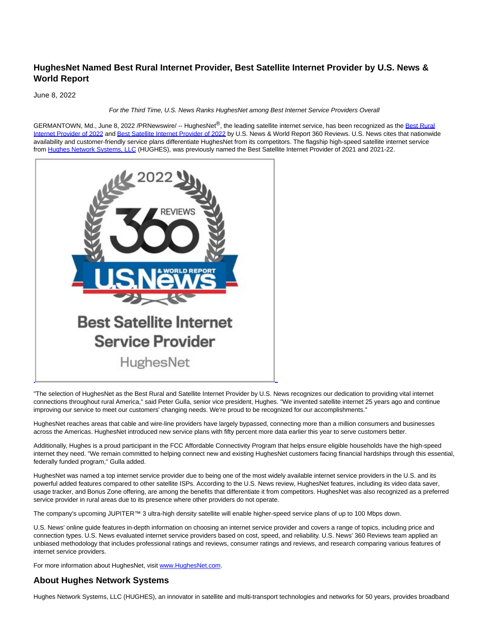## **HughesNet Named Best Rural Internet Provider, Best Satellite Internet Provider by U.S. News & World Report**

June 8, 2022

For the Third Time, U.S. News Ranks HughesNet among Best Internet Service Providers Overall

GERMANTOWN, Md., June 8, 2022 /PRNewswire/ -- HughesNet®, the leading satellite internet service, has been recognized as the [Best Rural](https://c212.net/c/link/?t=0&l=en&o=3560744-1&h=3283607612&u=https%3A%2F%2Fwww.usnews.com%2F360-reviews%2Fservices%2Finternet-providers%2Fbest-rural%23%3A%7E%3Atext%3DU.S.%2520News%2520Rating%2C-Monthly%2520Cost%2520%252464.99%26text%3DThe%2520Best%2520Internet%2520Service%2520Providers%2Coptions%252C%2520like%2520cable%2520or%2520fiber&a=Best+Rural+Internet+Provider+of+2022) Internet Provider of 2022 and [Best Satellite Internet Provider of 2022 b](https://c212.net/c/link/?t=0&l=en&o=3560744-1&h=3124586987&u=https%3A%2F%2Fwww.usnews.com%2F360-reviews%2Fservices%2Finternet-providers%2Fsatellite-internet&a=Best+Satellite+Internet+Provider+of+2022)y U.S. News & World Report 360 Reviews. U.S. News cites that nationwide availability and customer-friendly service plans differentiate HughesNet from its competitors. The flagship high-speed satellite internet service from [Hughes Network Systems, LLC \(](https://c212.net/c/link/?t=0&l=en&o=3560744-1&h=2225070506&u=https%3A%2F%2Fwww.hughes.com%2F&a=Hughes+Network+Systems%2C+LLC)HUGHES), was previously named the Best Satellite Internet Provider of 2021 and 2021-22.



"The selection of HughesNet as the Best Rural and Satellite Internet Provider by U.S. News recognizes our dedication to providing vital internet connections throughout rural America," said Peter Gulla, senior vice president, Hughes. "We invented satellite internet 25 years ago and continue improving our service to meet our customers' changing needs. We're proud to be recognized for our accomplishments."

L

HughesNet reaches areas that cable and wire-line providers have largely bypassed, connecting more than a million consumers and businesses across the Americas. HughesNet introduced new service plans with fifty percent more data earlier this year to serve customers better.

Additionally, Hughes is a proud participant in the FCC Affordable Connectivity Program that helps ensure eligible households have the high-speed internet they need. "We remain committed to helping connect new and existing HughesNet customers facing financial hardships through this essential, federally funded program," Gulla added.

HughesNet was named a top internet service provider due to being one of the most widely available internet service providers in the U.S. and its powerful added features compared to other satellite ISPs. According to the U.S. News review, HughesNet features, including its video data saver, usage tracker, and Bonus Zone offering, are among the benefits that differentiate it from competitors. HughesNet was also recognized as a preferred service provider in rural areas due to its presence where other providers do not operate.

The company's upcoming JUPITER™ 3 ultra-high density satellite will enable higher-speed service plans of up to 100 Mbps down.

U.S. News' online guide features in-depth information on choosing an internet service provider and covers a range of topics, including price and connection types. U.S. News evaluated internet service providers based on cost, speed, and reliability. U.S. News' 360 Reviews team applied an unbiased methodology that includes professional ratings and reviews, consumer ratings and reviews, and research comparing various features of internet service providers.

For more information about HughesNet, visit [www.HughesNet.com.](https://c212.net/c/link/?t=0&l=en&o=3560744-1&h=1438124438&u=http%3A%2F%2Fwww.hughesnet.com%2F&a=www.HughesNet.com)

## **About Hughes Network Systems**

Hughes Network Systems, LLC (HUGHES), an innovator in satellite and multi-transport technologies and networks for 50 years, provides broadband